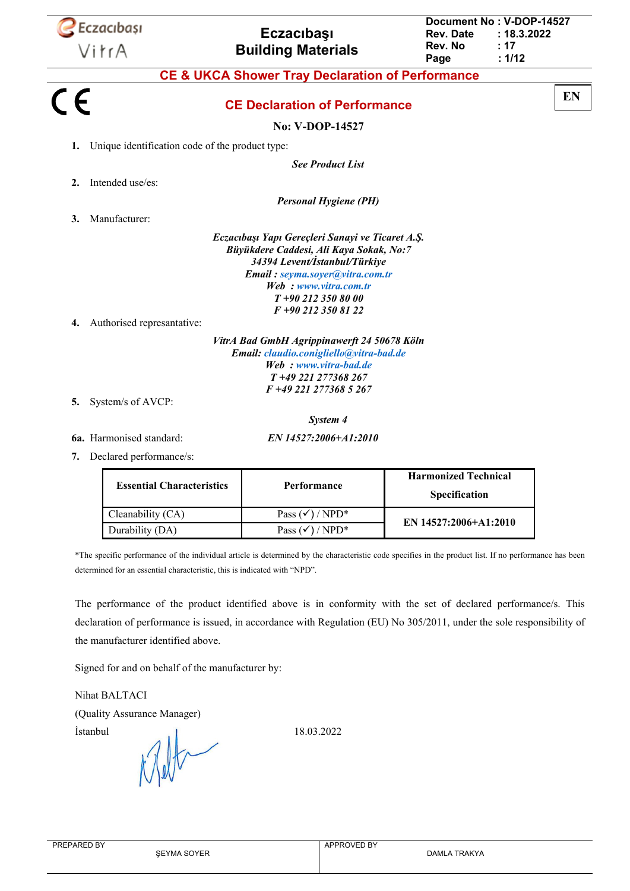| Eczacıbaşı<br>VitrA |                                                 | Eczacibaşı                                                                                                                                                                                                                          | <b>Rev. Date</b> | Document No: V-DOP-14527<br>: 18.3.2022 |    |
|---------------------|-------------------------------------------------|-------------------------------------------------------------------------------------------------------------------------------------------------------------------------------------------------------------------------------------|------------------|-----------------------------------------|----|
|                     |                                                 | <b>Building Materials</b>                                                                                                                                                                                                           | Rev. No<br>Page  | : 17<br>: 1/12                          |    |
|                     |                                                 | <b>CE &amp; UKCA Shower Tray Declaration of Performance</b>                                                                                                                                                                         |                  |                                         |    |
| CE                  |                                                 | <b>CE Declaration of Performance</b>                                                                                                                                                                                                |                  |                                         | EN |
|                     |                                                 | <b>No: V-DOP-14527</b>                                                                                                                                                                                                              |                  |                                         |    |
| 1.                  | Unique identification code of the product type: |                                                                                                                                                                                                                                     |                  |                                         |    |
|                     |                                                 | <b>See Product List</b>                                                                                                                                                                                                             |                  |                                         |    |
| 2.                  | Intended use/es:                                |                                                                                                                                                                                                                                     |                  |                                         |    |
|                     |                                                 | <b>Personal Hygiene (PH)</b>                                                                                                                                                                                                        |                  |                                         |    |
| 3.                  | Manufacturer:                                   |                                                                                                                                                                                                                                     |                  |                                         |    |
|                     |                                                 | Eczacıbaşı Yapı Gereçleri Sanayi ve Ticaret A.Ş.<br>Büyükdere Caddesi, Ali Kaya Sokak, No:7<br>34394 Levent/İstanbul/Türkiye<br>Email: seyma.soyer@vitra.com.tr<br>Web: www.vitra.com.tr<br>$T+902123508000$<br>F +90 212 350 81 22 |                  |                                         |    |
| 4.                  | Authorised represantative:                      |                                                                                                                                                                                                                                     |                  |                                         |    |
|                     |                                                 | VitrA Bad GmbH Agrippinawerft 24 50678 Köln<br>Email: claudio.conigliello@vitra-bad.de<br>Web: www.vitra-bad.de<br>$T+49221277368267$<br>F +49 221 277368 5 267                                                                     |                  |                                         |    |
| 5.                  | System/s of AVCP:                               |                                                                                                                                                                                                                                     |                  |                                         |    |
|                     |                                                 | System 4                                                                                                                                                                                                                            |                  |                                         |    |

**6a.** Harmonised standard: *EN 14527:2006+A1:2010*

**7.** Declared performance/s:

| <b>Essential Characteristics</b> | Performance                | <b>Harmonized Technical</b><br><b>Specification</b> |  |
|----------------------------------|----------------------------|-----------------------------------------------------|--|
| Cleanability (CA)                | Pass $(\checkmark)$ / NPD* | EN 14527:2006+A1:2010                               |  |
| Durability (DA)                  | Pass $(\checkmark)$ / NPD* |                                                     |  |

\*The specific performance of the individual article is determined by the characteristic code specifies in the product list. If no performance has been determined for an essential characteristic, this is indicated with "NPD".

The performance of the product identified above is in conformity with the set of declared performance/s. This declaration of performance is issued, in accordance with Regulation (EU) No 305/2011, under the sole responsibility of the manufacturer identified above.

Signed for and on behalf of the manufacturer by:

Nihat BALTACI (Quality Assurance Manager)

Istanbul  $18.03.2022$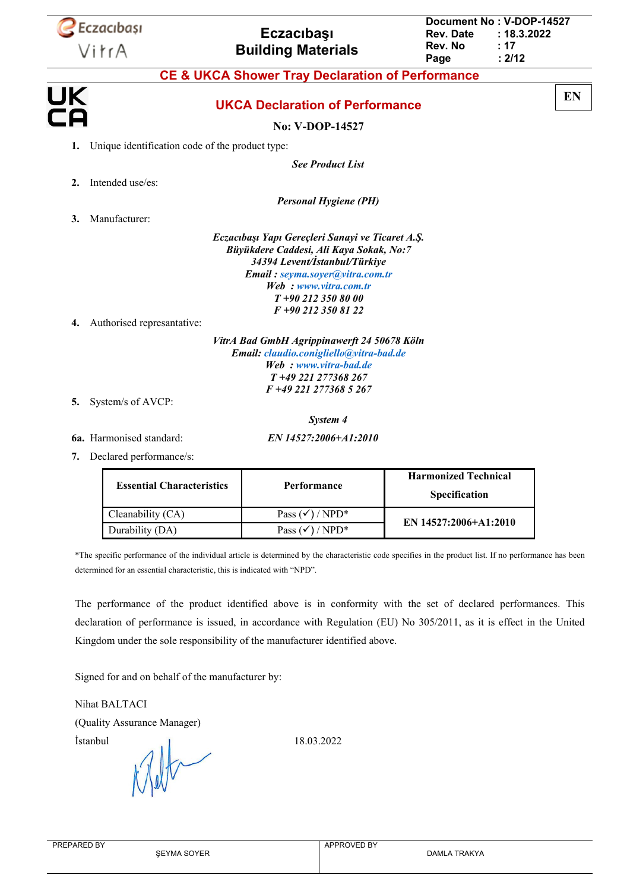| Eczacıbaşı |                                                 | <b>Eczacibasi</b>                                                                                                                                                                                                                   | <b>Rev. Date</b> | Document No: V-DOP-14527<br>: 18.3.2022 |    |
|------------|-------------------------------------------------|-------------------------------------------------------------------------------------------------------------------------------------------------------------------------------------------------------------------------------------|------------------|-----------------------------------------|----|
|            | VitrA                                           | <b>Building Materials</b>                                                                                                                                                                                                           | Rev. No<br>Page  | :17<br>: 2/12                           |    |
|            |                                                 | <b>CE &amp; UKCA Shower Tray Declaration of Performance</b>                                                                                                                                                                         |                  |                                         |    |
| UK<br>CA   |                                                 | <b>UKCA Declaration of Performance</b>                                                                                                                                                                                              |                  |                                         | EN |
|            |                                                 | <b>No: V-DOP-14527</b>                                                                                                                                                                                                              |                  |                                         |    |
| 1.         | Unique identification code of the product type: |                                                                                                                                                                                                                                     |                  |                                         |    |
|            |                                                 | <b>See Product List</b>                                                                                                                                                                                                             |                  |                                         |    |
| 2.         | Intended use/es:                                |                                                                                                                                                                                                                                     |                  |                                         |    |
|            |                                                 | <b>Personal Hygiene (PH)</b>                                                                                                                                                                                                        |                  |                                         |    |
| 3.         | Manufacturer:                                   |                                                                                                                                                                                                                                     |                  |                                         |    |
|            |                                                 | Eczacıbaşı Yapı Gereçleri Sanayi ve Ticaret A.Ş.<br>Büyükdere Caddesi, Ali Kaya Sokak, No:7<br>34394 Levent/İstanbul/Türkiye<br>Email: seyma.soyer@vitra.com.tr<br>Web: www.vitra.com.tr<br>$T+902123508000$<br>F +90 212 350 81 22 |                  |                                         |    |
| 4.         | Authorised represantative:                      |                                                                                                                                                                                                                                     |                  |                                         |    |
| 5.         | System/s of AVCP:                               | VitrA Bad GmbH Agrippinawerft 24 50678 Köln<br>Email: claudio.conigliello@vitra-bad.de<br>Web: www.vitra-bad.de<br>$T+49221277368267$<br>F +49 221 277368 5 267                                                                     |                  |                                         |    |
|            |                                                 | System 4                                                                                                                                                                                                                            |                  |                                         |    |
|            |                                                 |                                                                                                                                                                                                                                     |                  |                                         |    |

**6a.** Harmonised standard: *EN 14527:2006+A1:2010*

**7.** Declared performance/s:

| <b>Essential Characteristics</b> | Performance                | <b>Harmonized Technical</b><br><b>Specification</b> |  |
|----------------------------------|----------------------------|-----------------------------------------------------|--|
| Cleanability (CA)                | Pass $(\checkmark)$ / NPD* | EN 14527:2006+A1:2010                               |  |
| Durability (DA)                  | Pass $(\checkmark)$ / NPD* |                                                     |  |

\*The specific performance of the individual article is determined by the characteristic code specifies in the product list. If no performance has been determined for an essential characteristic, this is indicated with "NPD".

The performance of the product identified above is in conformity with the set of declared performances. This declaration of performance is issued, in accordance with Regulation (EU) No 305/2011, as it is effect in the United Kingdom under the sole responsibility of the manufacturer identified above.

Signed for and on behalf of the manufacturer by:

Nihat BALTACI (Quality Assurance Manager)

Istanbul  $\left\| \int_{\mathbb{R}} \int_{\mathbb{R}} \right\| \left\| \int_{\mathbb{R}} \right\| \leq 1$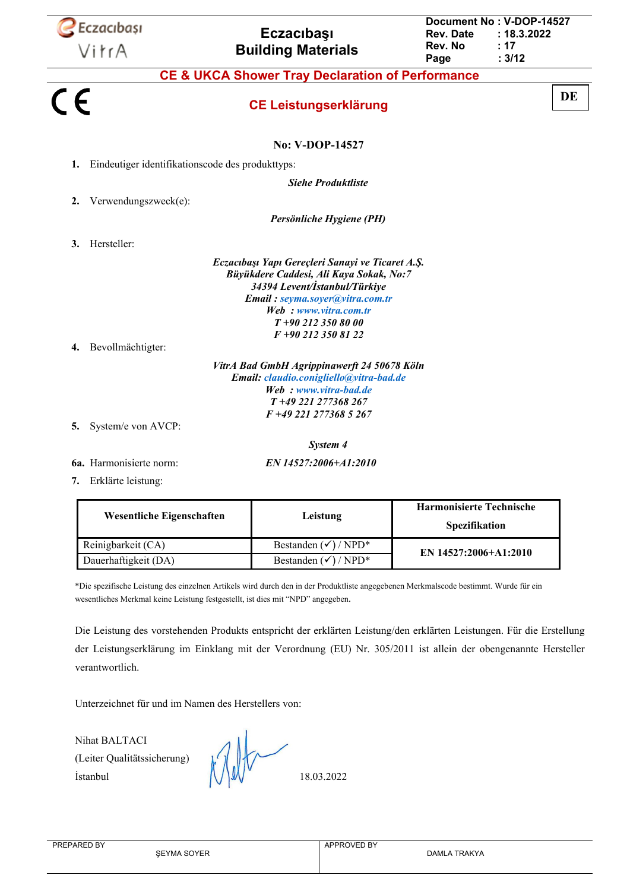|            | Eczacıbaşı                                       | Eczacıbaşı                                                                                                                                                                                                   | Document No: V-DOP-14527<br><b>Rev. Date</b> | : 18.3.2022    |    |
|------------|--------------------------------------------------|--------------------------------------------------------------------------------------------------------------------------------------------------------------------------------------------------------------|----------------------------------------------|----------------|----|
| VitrA      |                                                  | <b>Building Materials</b>                                                                                                                                                                                    | Rev. No<br>Page                              | : 17<br>: 3/12 |    |
|            |                                                  | <b>CE &amp; UKCA Shower Tray Declaration of Performance</b>                                                                                                                                                  |                                              |                |    |
| $\epsilon$ |                                                  | <b>CE Leistungserklärung</b>                                                                                                                                                                                 |                                              |                | DE |
|            |                                                  | No: V-DOP-14527                                                                                                                                                                                              |                                              |                |    |
| 1.         | Eindeutiger identifikationscode des produkttyps: |                                                                                                                                                                                                              |                                              |                |    |
|            |                                                  | <b>Siehe Produktliste</b>                                                                                                                                                                                    |                                              |                |    |
| 2.         | Verwendungszweck $(e)$ :                         |                                                                                                                                                                                                              |                                              |                |    |
|            |                                                  | Persönliche Hygiene (PH)                                                                                                                                                                                     |                                              |                |    |
| 3.         | Hersteller:                                      |                                                                                                                                                                                                              |                                              |                |    |
|            |                                                  | Eczacıbaşı Yapı Gereçleri Sanayi ve Ticaret A.Ş.<br>Büyükdere Caddesi, Ali Kaya Sokak, No:7<br>34394 Levent/İstanbul/Türkiye<br>Email: seyma.soyer@vitra.com.tr<br>Web: www.vitra.com.tr<br>$T+902123508000$ |                                              |                |    |
|            |                                                  | F +90 212 350 81 22                                                                                                                                                                                          |                                              |                |    |
| 4.         | Bevollmächtigter:                                |                                                                                                                                                                                                              |                                              |                |    |
|            |                                                  | VitrA Bad GmbH Agrippinawerft 24 50678 Köln<br>Email: claudio.conigliello@vitra-bad.de<br>Web: www.vitra-bad.de<br>$T+49221277368267$<br>F +49 221 277368 5 267                                              |                                              |                |    |
| 5.         | System/e von AVCP:                               |                                                                                                                                                                                                              |                                              |                |    |
|            |                                                  | System 4                                                                                                                                                                                                     |                                              |                |    |
|            | 6a. Harmonisierte norm:                          | EN 14527:2006+A1:2010                                                                                                                                                                                        |                                              |                |    |
| 7.         | Erklärte leistung:                               |                                                                                                                                                                                                              |                                              |                |    |

| <b>Wesentliche Eigenschaften</b> | Leistung                        | <b>Harmonisierte Technische</b><br><b>Spezifikation</b> |  |
|----------------------------------|---------------------------------|---------------------------------------------------------|--|
| Reinigbarkeit (CA)               | Bestanden $(\checkmark)$ / NPD* | EN 14527:2006+A1:2010                                   |  |
| Dauerhaftigkeit (DA)             | Bestanden $(\checkmark)$ / NPD* |                                                         |  |

\*Die spezifische Leistung des einzelnen Artikels wird durch den in der Produktliste angegebenen Merkmalscode bestimmt. Wurde für ein wesentliches Merkmal keine Leistung festgestellt, ist dies mit "NPD" angegeben.

Die Leistung des vorstehenden Produkts entspricht der erklärten Leistung/den erklärten Leistungen. Für die Erstellung der Leistungserklärung im Einklang mit der Verordnung (EU) Nr. 305/2011 ist allein der obengenannte Hersteller verantwortlich.

Unterzeichnet für und im Namen des Herstellers von:

Nihat BALTACI (Leiter Qualitätssicherung) Istanbul  $\left\{\left\{\right/\right\}\right\}$  18.03.2022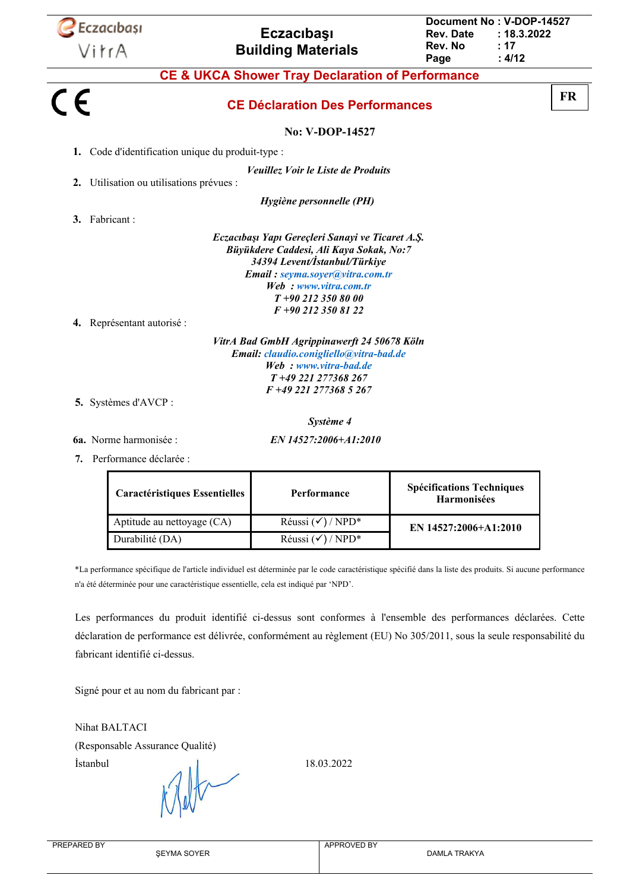| Eczacıbaşı<br>VitrA                               | <b>Eczacibasi</b><br><b>Building Materials</b>                                                                                                                                                                                     | Rev. Date<br>Rev. No<br>Page | Document No: V-DOP-14527<br>: 18.3.2022<br>: 17<br>: 4/12 |
|---------------------------------------------------|------------------------------------------------------------------------------------------------------------------------------------------------------------------------------------------------------------------------------------|------------------------------|-----------------------------------------------------------|
|                                                   | <b>CE &amp; UKCA Shower Tray Declaration of Performance</b>                                                                                                                                                                        |                              |                                                           |
| CE                                                | <b>CE Déclaration Des Performances</b>                                                                                                                                                                                             |                              | <b>FR</b>                                                 |
|                                                   | <b>No: V-DOP-14527</b>                                                                                                                                                                                                             |                              |                                                           |
| 1. Code d'identification unique du produit-type : |                                                                                                                                                                                                                                    |                              |                                                           |
|                                                   | <i>Veuillez Voir le Liste de Produits</i>                                                                                                                                                                                          |                              |                                                           |
| 2. Utilisation ou utilisations prévues :          |                                                                                                                                                                                                                                    |                              |                                                           |
|                                                   | Hygiène personnelle (PH)                                                                                                                                                                                                           |                              |                                                           |
| 3. Fabricant:                                     |                                                                                                                                                                                                                                    |                              |                                                           |
|                                                   | Eczacıbaşı Yapı Gereçleri Sanayi ve Ticaret A.Ş.<br>Büyükdere Caddesi, Ali Kaya Sokak, No:7<br>34394 Levent/İstanbul/Türkiye<br>Email: seyma.soyer@vitra.com.tr<br>Web: www.vitra.com.tr<br>$T+902123508000$<br>$F + 902123508122$ |                              |                                                           |
| Représentant autorisé :<br>4.                     |                                                                                                                                                                                                                                    |                              |                                                           |
|                                                   | VitrA Bad GmbH Agrippinawerft 24 50678 Köln<br>Email: claudio.conigliello@vitra-bad.de<br>Web: www.vitra-bad.de<br>T+49 221 277368 267<br>F +49 221 277368 5 267                                                                   |                              |                                                           |

**5.** Systèmes d'AVCP :

*Système 4*

**6a.** Norme harmonisée : *EN 14527:2006+A1:2010*

**7.** Performance déclarée :

| <b>Caractéristiques Essentielles</b> | Performance                  | <b>Spécifications Techniques</b><br><b>Harmonisées</b> |  |
|--------------------------------------|------------------------------|--------------------------------------------------------|--|
| Aptitude au nettoyage (CA)           | Réussi $(\checkmark)$ / NPD* | EN 14527:2006+A1:2010                                  |  |
| Durabilité (DA)                      | Réussi $(\checkmark)$ / NPD* |                                                        |  |

\*La performance spécifique de l'article individuel est déterminée par le code caractéristique spécifié dans la liste des produits. Si aucune performance n'a été déterminée pour une caractéristique essentielle, cela est indiqué par 'NPD'.

Les performances du produit identifié ci-dessus sont conformes à l'ensemble des performances déclarées. Cette déclaration de performance est délivrée, conformément au règlement (EU) No 305/2011, sous la seule responsabilité du fabricant identifié ci-dessus.

Signé pour et au nom du fabricant par :

Nihat BALTACI (Responsable Assurance Qualité) İstanbul 18.03.2022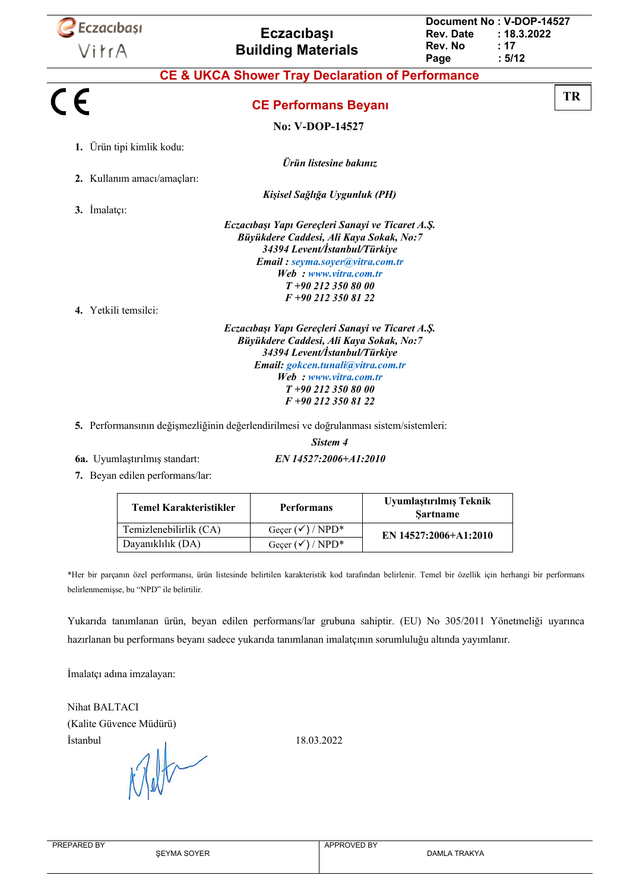| Eczacıbaşı<br>VitrA         | Eczacibaşı<br><b>Building Materials</b>                                                                                                                                                                                                 | Rev. Date<br>Rev. No<br>Page | Document No: V-DOP-14527<br>: 18.3.2022<br>:17<br>:5/12 |
|-----------------------------|-----------------------------------------------------------------------------------------------------------------------------------------------------------------------------------------------------------------------------------------|------------------------------|---------------------------------------------------------|
|                             | <b>CE &amp; UKCA Shower Tray Declaration of Performance</b>                                                                                                                                                                             |                              |                                                         |
| CE                          | <b>CE Performans Beyanı</b>                                                                                                                                                                                                             |                              | TR                                                      |
|                             | <b>No: V-DOP-14527</b>                                                                                                                                                                                                                  |                              |                                                         |
| 1. Ürün tipi kimlik kodu:   |                                                                                                                                                                                                                                         |                              |                                                         |
|                             | Ürün listesine bakınız                                                                                                                                                                                                                  |                              |                                                         |
| 2. Kullanım amacı/amaçları: |                                                                                                                                                                                                                                         |                              |                                                         |
|                             | Kişisel Sağlığa Uygunluk (PH)                                                                                                                                                                                                           |                              |                                                         |
| 3. Imalatçı:                |                                                                                                                                                                                                                                         |                              |                                                         |
|                             | Eczacıbaşı Yapı Gereçleri Sanayi ve Ticaret A.Ş.<br>Büyükdere Caddesi, Ali Kaya Sokak, No:7<br>34394 Levent/İstanbul/Türkiye<br>Email: seyma.soyer@vitra.com.tr<br>Web: www.vitra.com.tr<br>$T+902123508000$<br>$F + 902123508122$      |                              |                                                         |
| 4. Yetkili temsilci:        |                                                                                                                                                                                                                                         |                              |                                                         |
|                             | Eczacıbaşı Yapı Gereçleri Sanayi ve Ticaret A.Ş.<br>Büyükdere Caddesi, Ali Kaya Sokak, No:7<br>34394 Levent/İstanbul/Türkiye<br>Email: gokcen.tunali@vitra.com.tr<br>Web: www.vitra.com.tr<br>$T + 902123508000$<br>F +90 212 350 81 22 |                              |                                                         |

**5.** Performansının değişmezliğinin değerlendirilmesi ve doğrulanması sistem/sistemleri:

*Sistem 4*

**6a.** Uyumlaştırılmış standart: *EN 14527:2006+A1:2010*

**7.** Beyan edilen performans/lar:

| Temel Karakteristikler | <b>Performans</b>           | Uyumlaştırılmış Teknik<br><b>Sartname</b> |  |
|------------------------|-----------------------------|-------------------------------------------|--|
| Temizlenebilirlik (CA) | Gecer $(\checkmark)$ / NPD* | EN 14527:2006+A1:2010                     |  |
| Dayanıklılık (DA)      | Gecer $(\checkmark)$ / NPD* |                                           |  |

\*Her bir parçanın özel performansı, ürün listesinde belirtilen karakteristik kod tarafından belirlenir. Temel bir özellik için herhangi bir performans belirlenmemişse, bu "NPD" ile belirtilir.

Yukarıda tanımlanan ürün, beyan edilen performans/lar grubuna sahiptir. (EU) No 305/2011 Yönetmeliği uyarınca hazırlanan bu performans beyanı sadece yukarıda tanımlanan imalatçının sorumluluğu altında yayımlanır.

İmalatçı adına imzalayan:

Nihat BALTACI (Kalite Güvence Müdürü)

Istanbul 18.03.2022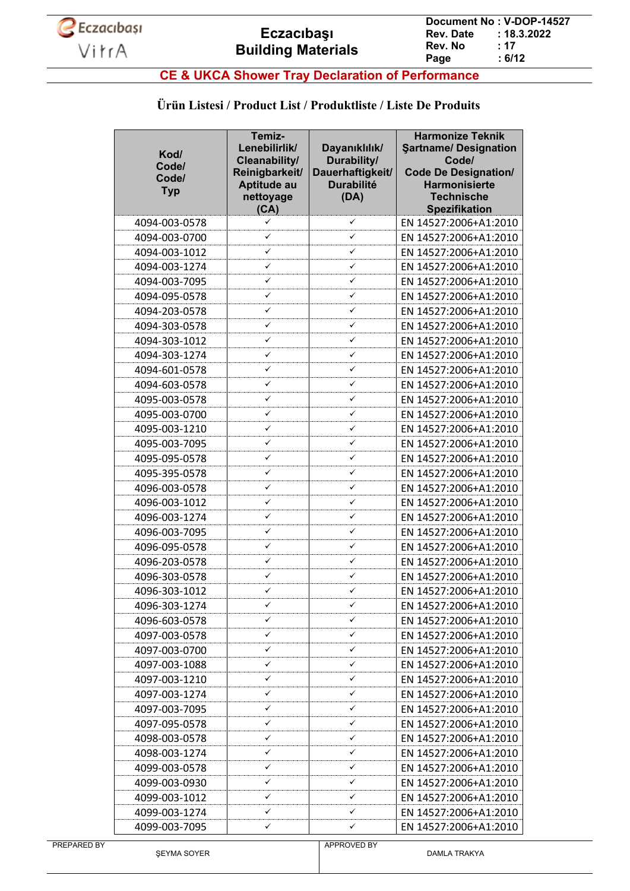

**CE & UKCA Shower Tray Declaration of Performance**

#### **Ürün Listesi / Product List / Produktliste / Liste De Produits**

| Kod/<br>Code/<br>Code/<br><b>Typ</b> | Temiz-<br>Lenebilirlik/<br>Cleanability/<br>Reinigbarkeit/<br>Aptitude au<br>nettoyage<br>(CA) | Dayanıklılık/<br>Durability/<br>Dauerhaftigkeit/<br><b>Durabilité</b><br>(DA) | <b>Harmonize Teknik</b><br><b>Sartname/Designation</b><br>Code/<br><b>Code De Designation/</b><br><b>Harmonisierte</b><br><b>Technische</b><br><b>Spezifikation</b> |
|--------------------------------------|------------------------------------------------------------------------------------------------|-------------------------------------------------------------------------------|---------------------------------------------------------------------------------------------------------------------------------------------------------------------|
| 4094-003-0578                        | ✓                                                                                              | ✓                                                                             | EN 14527:2006+A1:2010                                                                                                                                               |
| 4094-003-0700                        | ✓                                                                                              | ✓                                                                             | EN 14527:2006+A1:2010                                                                                                                                               |
| 4094-003-1012                        | ✓                                                                                              | ✓                                                                             | EN 14527:2006+A1:2010                                                                                                                                               |
| 4094-003-1274                        | ✓                                                                                              | ✓                                                                             | EN 14527:2006+A1:2010                                                                                                                                               |
| 4094-003-7095                        | ✓                                                                                              | ✓                                                                             | EN 14527:2006+A1:2010                                                                                                                                               |
| 4094-095-0578                        | ✓                                                                                              | ✓                                                                             | EN 14527:2006+A1:2010                                                                                                                                               |
| 4094-203-0578                        | ✓                                                                                              | ✓                                                                             | EN 14527:2006+A1:2010                                                                                                                                               |
| 4094-303-0578                        | ✓                                                                                              | ✓                                                                             | EN 14527:2006+A1:2010                                                                                                                                               |
| 4094-303-1012                        | ✓                                                                                              | ✓                                                                             | EN 14527:2006+A1:2010                                                                                                                                               |
| 4094-303-1274                        | ✓                                                                                              | ✓                                                                             | EN 14527:2006+A1:2010                                                                                                                                               |
| 4094-601-0578                        | ✓                                                                                              | ✓                                                                             | EN 14527:2006+A1:2010                                                                                                                                               |
| 4094-603-0578                        | ✓                                                                                              | ✓                                                                             | EN 14527:2006+A1:2010                                                                                                                                               |
| 4095-003-0578                        | ✓                                                                                              | ✓                                                                             | EN 14527:2006+A1:2010                                                                                                                                               |
| 4095-003-0700                        | ✓                                                                                              | ✓                                                                             | EN 14527:2006+A1:2010                                                                                                                                               |
| 4095-003-1210                        | ✓                                                                                              | ✓                                                                             | EN 14527:2006+A1:2010                                                                                                                                               |
| 4095-003-7095                        | ✓                                                                                              | ✓                                                                             | EN 14527:2006+A1:2010                                                                                                                                               |
| 4095-095-0578                        | ✓                                                                                              | $\checkmark$                                                                  | EN 14527:2006+A1:2010                                                                                                                                               |
| 4095-395-0578                        | ✓                                                                                              | ✓                                                                             | EN 14527:2006+A1:2010                                                                                                                                               |
| 4096-003-0578                        | ✓                                                                                              | ✓                                                                             | EN 14527:2006+A1:2010                                                                                                                                               |
| 4096-003-1012                        | ✓                                                                                              | ✓                                                                             | EN 14527:2006+A1:2010                                                                                                                                               |
| 4096-003-1274                        | ✓                                                                                              | ✓                                                                             | EN 14527:2006+A1:2010                                                                                                                                               |
| 4096-003-7095                        | ✓                                                                                              | ✓                                                                             | EN 14527:2006+A1:2010                                                                                                                                               |
| 4096-095-0578                        | ✓                                                                                              | ✓                                                                             | EN 14527:2006+A1:2010                                                                                                                                               |
| 4096-203-0578                        | ✓                                                                                              | ✓                                                                             | EN 14527:2006+A1:2010                                                                                                                                               |
| 4096-303-0578                        | ✓                                                                                              | ✓                                                                             | EN 14527:2006+A1:2010                                                                                                                                               |
| 4096-303-1012                        | ✓                                                                                              | ✓                                                                             | EN 14527:2006+A1:2010                                                                                                                                               |
| 4096-303-1274                        | ✓                                                                                              | ✓                                                                             | EN 14527:2006+A1:2010                                                                                                                                               |
| 4096-603-0578                        | ✓                                                                                              |                                                                               | EN 14527:2006+A1:2010                                                                                                                                               |
| 4097-003-0578                        | ✓                                                                                              | ✓                                                                             | EN 14527:2006+A1:2010                                                                                                                                               |
| 4097-003-0700                        | ✓                                                                                              | ✓                                                                             | EN 14527:2006+A1:2010                                                                                                                                               |
| 4097-003-1088                        | ✓                                                                                              |                                                                               | EN 14527:2006+A1:2010                                                                                                                                               |
| 4097-003-1210                        | ✓                                                                                              | ✓                                                                             | EN 14527:2006+A1:2010                                                                                                                                               |
| 4097-003-1274                        | ✓                                                                                              | ✓                                                                             | EN 14527:2006+A1:2010                                                                                                                                               |
| 4097-003-7095                        | ✓                                                                                              | ✓                                                                             | EN 14527:2006+A1:2010                                                                                                                                               |
| 4097-095-0578                        | ✓                                                                                              | ✓                                                                             | EN 14527:2006+A1:2010                                                                                                                                               |
| 4098-003-0578                        | ✓                                                                                              | ✓                                                                             | EN 14527:2006+A1:2010                                                                                                                                               |
| 4098-003-1274                        | ✓                                                                                              | ✓                                                                             | EN 14527:2006+A1:2010                                                                                                                                               |
| 4099-003-0578                        | ✓                                                                                              | ✓                                                                             | EN 14527:2006+A1:2010                                                                                                                                               |
| 4099-003-0930                        | ✓                                                                                              | ✓                                                                             | EN 14527:2006+A1:2010                                                                                                                                               |
| 4099-003-1012                        | ✓                                                                                              | ✓                                                                             | EN 14527:2006+A1:2010                                                                                                                                               |
| 4099-003-1274                        | ✓                                                                                              | ✓                                                                             | EN 14527:2006+A1:2010                                                                                                                                               |
| 4099-003-7095                        | ✓                                                                                              | ✓                                                                             | EN 14527:2006+A1:2010                                                                                                                                               |

**PREPARED BY** 

ŞEYMA SOYER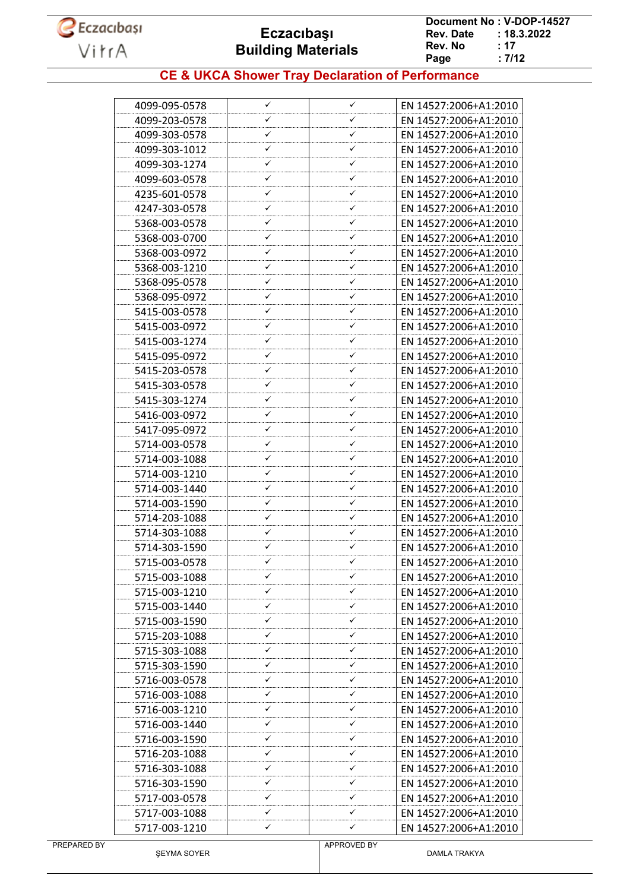

**Document No : V-DOP-14527<br>Rev. Date : 18.3.2022 Rev. Date : 18.3.2022 Rev. No : 17<br>Page : 7/12** Page

#### **CE & UKCA Shower Tray Declaration of Performance**

| 4099-095-0578 | ✓ | ✓ | EN 14527:2006+A1:2010 |
|---------------|---|---|-----------------------|
| 4099-203-0578 | ✓ | ✓ | EN 14527:2006+A1:2010 |
| 4099-303-0578 | ✓ | ✓ | EN 14527:2006+A1:2010 |
| 4099-303-1012 | ✓ | ✓ | EN 14527:2006+A1:2010 |
| 4099-303-1274 | ✓ | ✓ | EN 14527:2006+A1:2010 |
| 4099-603-0578 | ✓ | ✓ | EN 14527:2006+A1:2010 |
| 4235-601-0578 | ✓ | ✓ | EN 14527:2006+A1:2010 |
| 4247-303-0578 | ✓ | ✓ | EN 14527:2006+A1:2010 |
| 5368-003-0578 | ✓ | ✓ | EN 14527:2006+A1:2010 |
| 5368-003-0700 | ✓ | ✓ | EN 14527:2006+A1:2010 |
| 5368-003-0972 | ✓ | ✓ | EN 14527:2006+A1:2010 |
| 5368-003-1210 | ✓ | ✓ | EN 14527:2006+A1:2010 |
| 5368-095-0578 | ✓ | ✓ | EN 14527:2006+A1:2010 |
| 5368-095-0972 | ✓ | ✓ | EN 14527:2006+A1:2010 |
| 5415-003-0578 | ✓ | ✓ | EN 14527:2006+A1:2010 |
| 5415-003-0972 | ✓ | ✓ | EN 14527:2006+A1:2010 |
| 5415-003-1274 | ✓ | ✓ | EN 14527:2006+A1:2010 |
| 5415-095-0972 | ✓ | ✓ | EN 14527:2006+A1:2010 |
| 5415-203-0578 | ✓ | ✓ | EN 14527:2006+A1:2010 |
| 5415-303-0578 | ✓ | ✓ | EN 14527:2006+A1:2010 |
| 5415-303-1274 | ✓ | ✓ | EN 14527:2006+A1:2010 |
| 5416-003-0972 | ✓ | ✓ | EN 14527:2006+A1:2010 |
| 5417-095-0972 | ✓ | ✓ | EN 14527:2006+A1:2010 |
| 5714-003-0578 | ✓ | ✓ | EN 14527:2006+A1:2010 |
| 5714-003-1088 | ✓ | ✓ | EN 14527:2006+A1:2010 |
| 5714-003-1210 | ✓ | ✓ | EN 14527:2006+A1:2010 |
| 5714-003-1440 | ✓ | ✓ | EN 14527:2006+A1:2010 |
| 5714-003-1590 | ✓ | ✓ | EN 14527:2006+A1:2010 |
| 5714-203-1088 | ✓ | ✓ | EN 14527:2006+A1:2010 |
| 5714-303-1088 | ✓ | ✓ | EN 14527:2006+A1:2010 |
| 5714-303-1590 | ✓ | ✓ | EN 14527:2006+A1:2010 |
| 5715-003-0578 | ✓ | ✓ | EN 14527:2006+A1:2010 |
| 5715-003-1088 | ✓ | ✓ | EN 14527:2006+A1:2010 |
| 5715-003-1210 | ✓ | ✓ | EN 14527:2006+A1:2010 |
| 5715-003-1440 | ✓ | ✓ | EN 14527:2006+A1:2010 |
| 5715-003-1590 | ✓ | ✓ | EN 14527:2006+A1:2010 |
| 5715-203-1088 | ✓ | ✓ | EN 14527:2006+A1:2010 |
| 5715-303-1088 | ✓ | ✓ | EN 14527:2006+A1:2010 |
| 5715-303-1590 | ✓ | ✓ | EN 14527:2006+A1:2010 |
| 5716-003-0578 | ✓ | ✓ | EN 14527:2006+A1:2010 |
| 5716-003-1088 | ✓ | ✓ | EN 14527:2006+A1:2010 |
| 5716-003-1210 | ✓ | ✓ | EN 14527:2006+A1:2010 |
| 5716-003-1440 | ✓ | ✓ | EN 14527:2006+A1:2010 |
| 5716-003-1590 | ✓ | ✓ | EN 14527:2006+A1:2010 |
| 5716-203-1088 | ✓ | ✓ | EN 14527:2006+A1:2010 |
| 5716-303-1088 | ✓ | ✓ | EN 14527:2006+A1:2010 |
| 5716-303-1590 | ✓ | ✓ | EN 14527:2006+A1:2010 |
| 5717-003-0578 | ✓ | ✓ | EN 14527:2006+A1:2010 |
| 5717-003-1088 | ✓ | ✓ | EN 14527:2006+A1:2010 |
| 5717-003-1210 | ✓ | ✓ | EN 14527:2006+A1:2010 |
|               |   |   |                       |

**PREPARED BY** 

ŞEYMA SOYER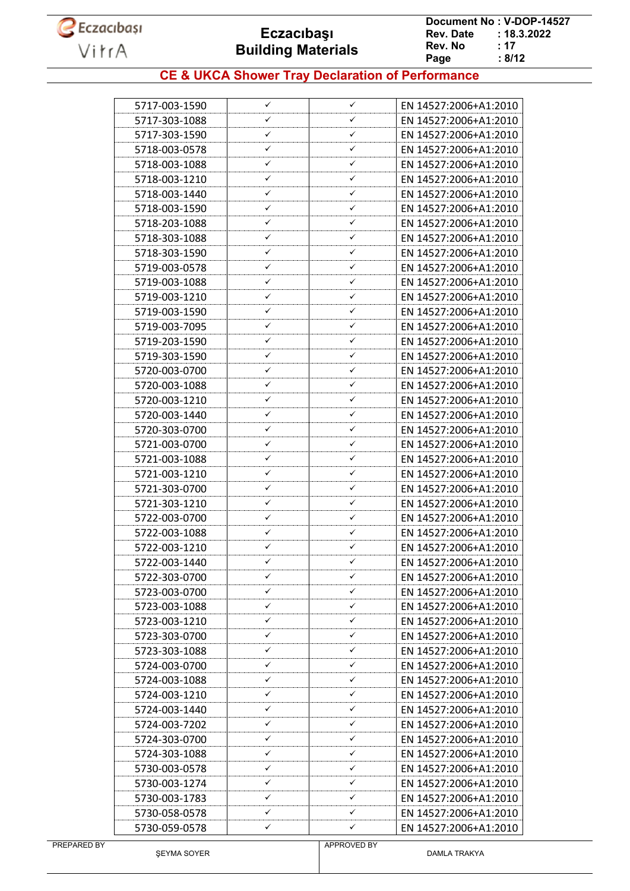

|           | Document No: V-DOP-14527 |
|-----------|--------------------------|
| Rev. Date | : 18.3.2022              |
| Rev. No   | : 17                     |
| Page      | :8/12                    |

# **CE & UKCA Shower Tray Declaration of Performance**

| 5717-003-1590 | ✓            | ✓ | EN 14527:2006+A1:2010 |
|---------------|--------------|---|-----------------------|
| 5717-303-1088 | ✓            | ✓ | EN 14527:2006+A1:2010 |
| 5717-303-1590 | ✓            | ✓ | EN 14527:2006+A1:2010 |
| 5718-003-0578 | ✓            | ✓ | EN 14527:2006+A1:2010 |
| 5718-003-1088 | ✓            | ✓ | EN 14527:2006+A1:2010 |
| 5718-003-1210 | ✓            | ✓ | EN 14527:2006+A1:2010 |
| 5718-003-1440 | ✓            | ✓ | EN 14527:2006+A1:2010 |
| 5718-003-1590 | ✓            | ✓ | EN 14527:2006+A1:2010 |
| 5718-203-1088 | ✓            | ✓ | EN 14527:2006+A1:2010 |
| 5718-303-1088 | ✓            | ✓ | EN 14527:2006+A1:2010 |
| 5718-303-1590 | ✓            | ✓ | EN 14527:2006+A1:2010 |
| 5719-003-0578 | ✓            | ✓ | EN 14527:2006+A1:2010 |
| 5719-003-1088 | ✓            | ✓ | EN 14527:2006+A1:2010 |
| 5719-003-1210 | ✓            | ✓ | EN 14527:2006+A1:2010 |
| 5719-003-1590 | ✓            | ✓ | EN 14527:2006+A1:2010 |
| 5719-003-7095 | ✓            | ✓ | EN 14527:2006+A1:2010 |
| 5719-203-1590 | ✓            | ✓ | EN 14527:2006+A1:2010 |
| 5719-303-1590 | $\checkmark$ | ✓ | EN 14527:2006+A1:2010 |
| 5720-003-0700 | ✓            | ✓ | EN 14527:2006+A1:2010 |
| 5720-003-1088 | ✓            | ✓ | EN 14527:2006+A1:2010 |
| 5720-003-1210 | ✓            | ✓ | EN 14527:2006+A1:2010 |
| 5720-003-1440 | ✓            | ✓ | EN 14527:2006+A1:2010 |
| 5720-303-0700 | ✓            | ✓ | EN 14527:2006+A1:2010 |
| 5721-003-0700 | ✓            | ✓ | EN 14527:2006+A1:2010 |
| 5721-003-1088 | ✓            | ✓ | EN 14527:2006+A1:2010 |
| 5721-003-1210 | ✓            | ✓ | EN 14527:2006+A1:2010 |
| 5721-303-0700 | ✓            | ✓ | EN 14527:2006+A1:2010 |
| 5721-303-1210 | ✓            | ✓ | EN 14527:2006+A1:2010 |
| 5722-003-0700 | ✓            | ✓ | EN 14527:2006+A1:2010 |
| 5722-003-1088 | ✓            | ✓ | EN 14527:2006+A1:2010 |
| 5722-003-1210 | ✓            | ✓ | EN 14527:2006+A1:2010 |
| 5722-003-1440 | ✓            | ✓ | EN 14527:2006+A1:2010 |
| 5722-303-0700 | ✓            | ✓ | EN 14527:2006+A1:2010 |
| 5723-003-0700 | ✓            | ✓ | EN 14527:2006+A1:2010 |
| 5723-003-1088 | ✓            | ✓ | EN 14527:2006+A1:2010 |
| 5723-003-1210 | ✓            | ✓ | EN 14527:2006+A1:2010 |
| 5723-303-0700 | ✓            | ✓ | EN 14527:2006+A1:2010 |
| 5723-303-1088 |              | ✓ | EN 14527:2006+A1:2010 |
| 5724-003-0700 | ✓            | ✓ | EN 14527:2006+A1:2010 |
| 5724-003-1088 | ✓            | ✓ | EN 14527:2006+A1:2010 |
| 5724-003-1210 | ✓            | ✓ | EN 14527:2006+A1:2010 |
| 5724-003-1440 | ✓            | ✓ | EN 14527:2006+A1:2010 |
| 5724-003-7202 | ✓            | ✓ | EN 14527:2006+A1:2010 |
| 5724-303-0700 | ✓            | ✓ | EN 14527:2006+A1:2010 |
| 5724-303-1088 | ✓            | ✓ | EN 14527:2006+A1:2010 |
| 5730-003-0578 | ✓            | ✓ | EN 14527:2006+A1:2010 |
| 5730-003-1274 | ✓            | ✓ | EN 14527:2006+A1:2010 |
| 5730-003-1783 | ✓            | ✓ | EN 14527:2006+A1:2010 |
| 5730-058-0578 | ✓            | ✓ | EN 14527:2006+A1:2010 |
| 5730-059-0578 | ✓            | ✓ | EN 14527:2006+A1:2010 |
|               |              |   |                       |

**PREPARED BY** 

ŞEYMA SOYER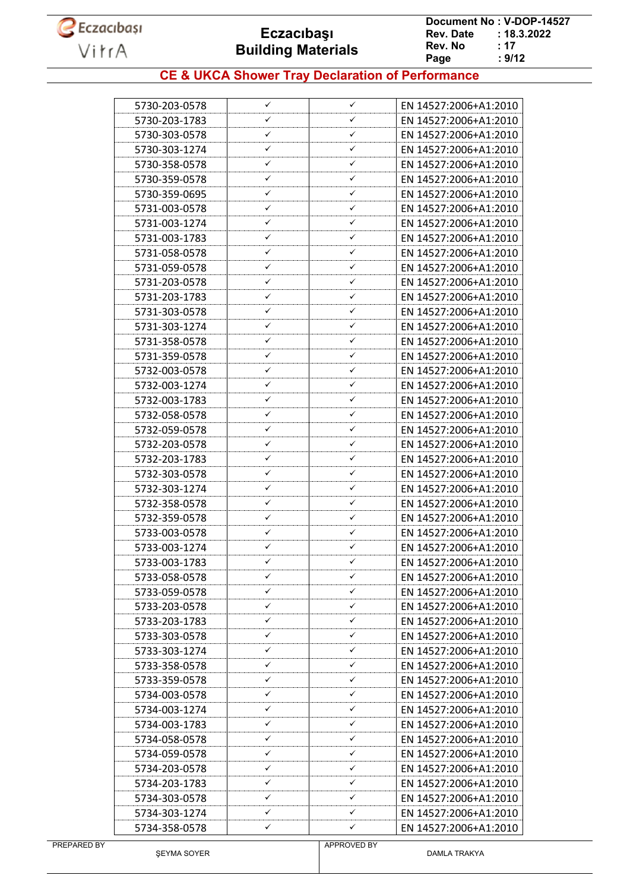

|           | Document No: V-DOP-14527 |
|-----------|--------------------------|
| Rev. Date | : 18.3.2022              |
| Rev. No   | : 17                     |
| Page      | : 9/12                   |

# **CE & UKCA Shower Tray Declaration of Performance**

| 5730-203-0578 | ✓            | ✓ | EN 14527:2006+A1:2010 |
|---------------|--------------|---|-----------------------|
| 5730-203-1783 | ✓            | ✓ | EN 14527:2006+A1:2010 |
| 5730-303-0578 | ✓            | ✓ | EN 14527:2006+A1:2010 |
| 5730-303-1274 | ✓            | ✓ | EN 14527:2006+A1:2010 |
| 5730-358-0578 | ✓            | ✓ | EN 14527:2006+A1:2010 |
| 5730-359-0578 | ✓            | ✓ | EN 14527:2006+A1:2010 |
| 5730-359-0695 | ✓            | ✓ | EN 14527:2006+A1:2010 |
| 5731-003-0578 | ✓            | ✓ | EN 14527:2006+A1:2010 |
| 5731-003-1274 | ✓            | ✓ | EN 14527:2006+A1:2010 |
| 5731-003-1783 | ✓            | ✓ | EN 14527:2006+A1:2010 |
| 5731-058-0578 | ✓            | ✓ | EN 14527:2006+A1:2010 |
| 5731-059-0578 | $\checkmark$ | ✓ | EN 14527:2006+A1:2010 |
| 5731-203-0578 | ✓            | ✓ | EN 14527:2006+A1:2010 |
| 5731-203-1783 | ✓            | ✓ | EN 14527:2006+A1:2010 |
| 5731-303-0578 | ✓            | ✓ | EN 14527:2006+A1:2010 |
| 5731-303-1274 | ✓            | ✓ | EN 14527:2006+A1:2010 |
| 5731-358-0578 | ✓            | ✓ | EN 14527:2006+A1:2010 |
| 5731-359-0578 | ✓            | ✓ | EN 14527:2006+A1:2010 |
| 5732-003-0578 | ✓            | ✓ | EN 14527:2006+A1:2010 |
| 5732-003-1274 | ✓            | ✓ | EN 14527:2006+A1:2010 |
| 5732-003-1783 | ✓            | ✓ | EN 14527:2006+A1:2010 |
| 5732-058-0578 | ✓            | ✓ | EN 14527:2006+A1:2010 |
| 5732-059-0578 | ✓            | ✓ | EN 14527:2006+A1:2010 |
| 5732-203-0578 | ✓            | ✓ | EN 14527:2006+A1:2010 |
| 5732-203-1783 | ✓            | ✓ | EN 14527:2006+A1:2010 |
| 5732-303-0578 | ✓            | ✓ | EN 14527:2006+A1:2010 |
| 5732-303-1274 | ✓            | ✓ | EN 14527:2006+A1:2010 |
| 5732-358-0578 | ✓            | ✓ | EN 14527:2006+A1:2010 |
| 5732-359-0578 | ✓            | ✓ | EN 14527:2006+A1:2010 |
| 5733-003-0578 | ✓            | ✓ | EN 14527:2006+A1:2010 |
| 5733-003-1274 | ✓            | ✓ | EN 14527:2006+A1:2010 |
| 5733-003-1783 | ✓            | ✓ | EN 14527:2006+A1:2010 |
| 5733-058-0578 | ✓            | ✓ | EN 14527:2006+A1:2010 |
| 5733-059-0578 | ✓            | ✓ | EN 14527:2006+A1:2010 |
| 5733-203-0578 | ✓            | ✓ | EN 14527:2006+A1:2010 |
| 5733-203-1783 | ✓            | ✓ | EN 14527:2006+A1:2010 |
| 5733-303-0578 | ✓            | ✓ | EN 14527:2006+A1:2010 |
| 5733-303-1274 | ✓            | ✓ | EN 14527:2006+A1:2010 |
| 5733-358-0578 | ✓            | ✓ | EN 14527:2006+A1:2010 |
| 5733-359-0578 | ✓            | ✓ | EN 14527:2006+A1:2010 |
| 5734-003-0578 | ✓            | ✓ | EN 14527:2006+A1:2010 |
| 5734-003-1274 | ✓            | ✓ | EN 14527:2006+A1:2010 |
| 5734-003-1783 | ✓            | ✓ | EN 14527:2006+A1:2010 |
| 5734-058-0578 |              | ✓ | EN 14527:2006+A1:2010 |
| 5734-059-0578 | ✓            | ✓ | EN 14527:2006+A1:2010 |
| 5734-203-0578 | ✓            | ✓ | EN 14527:2006+A1:2010 |
| 5734-203-1783 | ✓            | ✓ | EN 14527:2006+A1:2010 |
| 5734-303-0578 | ✓            | ✓ | EN 14527:2006+A1:2010 |
| 5734-303-1274 | ✓            | ✓ | EN 14527:2006+A1:2010 |
| 5734-358-0578 | ✓            | ✓ | EN 14527:2006+A1:2010 |
|               |              |   |                       |

**PREPARED BY** 

ŞEYMA SOYER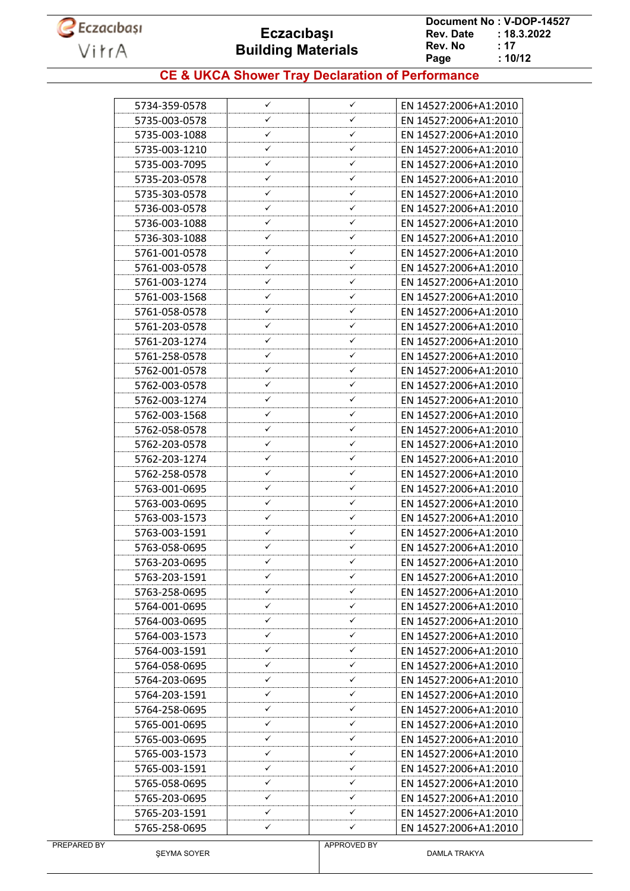

**Document No : V-DOP-14527<br>Rev. Date : 18.3.2022 Rev. Date : 18.3.2022 Rev. No Page Page : 10/12**

#### **CE & UKCA Shower Tray Declaration of Performance**

| 5734-359-0578 | ✓ | ✓ | EN 14527:2006+A1:2010 |
|---------------|---|---|-----------------------|
| 5735-003-0578 | ✓ | ✓ | EN 14527:2006+A1:2010 |
| 5735-003-1088 | ✓ | ✓ | EN 14527:2006+A1:2010 |
| 5735-003-1210 | ✓ | ✓ | EN 14527:2006+A1:2010 |
| 5735-003-7095 | ✓ | ✓ | EN 14527:2006+A1:2010 |
| 5735-203-0578 | ✓ | ✓ | EN 14527:2006+A1:2010 |
| 5735-303-0578 | ✓ | ✓ | EN 14527:2006+A1:2010 |
| 5736-003-0578 | ✓ | ✓ | EN 14527:2006+A1:2010 |
| 5736-003-1088 | ✓ | ✓ | EN 14527:2006+A1:2010 |
| 5736-303-1088 | ✓ | ✓ | EN 14527:2006+A1:2010 |
| 5761-001-0578 | ✓ | ✓ | EN 14527:2006+A1:2010 |
| 5761-003-0578 | ✓ | ✓ | EN 14527:2006+A1:2010 |
| 5761-003-1274 | ✓ | ✓ | EN 14527:2006+A1:2010 |
| 5761-003-1568 | ✓ | ✓ | EN 14527:2006+A1:2010 |
| 5761-058-0578 | ✓ | ✓ | EN 14527:2006+A1:2010 |
| 5761-203-0578 | ✓ | ✓ | EN 14527:2006+A1:2010 |
| 5761-203-1274 | ✓ | ✓ | EN 14527:2006+A1:2010 |
| 5761-258-0578 | ✓ | ✓ | EN 14527:2006+A1:2010 |
| 5762-001-0578 | ✓ | ✓ | EN 14527:2006+A1:2010 |
| 5762-003-0578 | ✓ | ✓ | EN 14527:2006+A1:2010 |
| 5762-003-1274 | ✓ | ✓ | EN 14527:2006+A1:2010 |
| 5762-003-1568 | ✓ | ✓ | EN 14527:2006+A1:2010 |
| 5762-058-0578 | ✓ | ✓ | EN 14527:2006+A1:2010 |
| 5762-203-0578 | ✓ | ✓ | EN 14527:2006+A1:2010 |
| 5762-203-1274 | ✓ | ✓ | EN 14527:2006+A1:2010 |
| 5762-258-0578 | ✓ | ✓ | EN 14527:2006+A1:2010 |
| 5763-001-0695 | ✓ | ✓ | EN 14527:2006+A1:2010 |
| 5763-003-0695 | ✓ | ✓ | EN 14527:2006+A1:2010 |
| 5763-003-1573 | ✓ | ✓ | EN 14527:2006+A1:2010 |
| 5763-003-1591 | ✓ | ✓ | EN 14527:2006+A1:2010 |
| 5763-058-0695 | ✓ | ✓ | EN 14527:2006+A1:2010 |
| 5763-203-0695 | ✓ | ✓ | EN 14527:2006+A1:2010 |
| 5763-203-1591 | ✓ | ✓ | EN 14527:2006+A1:2010 |
| 5763-258-0695 | ✓ | ✓ | EN 14527:2006+A1:2010 |
| 5764-001-0695 | ✓ | ✓ | EN 14527:2006+A1:2010 |
| 5764-003-0695 | ✓ | ✓ | EN 14527:2006+A1:2010 |
| 5764-003-1573 | ✓ | ✓ | EN 14527:2006+A1:2010 |
| 5764-003-1591 | ✓ | ✓ | EN 14527:2006+A1:2010 |
| 5764-058-0695 | ✓ | ✓ | EN 14527:2006+A1:2010 |
| 5764-203-0695 | ✓ | ✓ | EN 14527:2006+A1:2010 |
| 5764-203-1591 | ✓ | ✓ | EN 14527:2006+A1:2010 |
| 5764-258-0695 | ✓ | ✓ | EN 14527:2006+A1:2010 |
| 5765-001-0695 | ✓ | ✓ | EN 14527:2006+A1:2010 |
| 5765-003-0695 | ✓ | ✓ | EN 14527:2006+A1:2010 |
| 5765-003-1573 | ✓ | ✓ | EN 14527:2006+A1:2010 |
| 5765-003-1591 | ✓ | ✓ | EN 14527:2006+A1:2010 |
| 5765-058-0695 | ✓ | ✓ | EN 14527:2006+A1:2010 |
| 5765-203-0695 | ✓ | ✓ | EN 14527:2006+A1:2010 |
| 5765-203-1591 | ✓ | ✓ | EN 14527:2006+A1:2010 |
| 5765-258-0695 | ✓ | ✓ | EN 14527:2006+A1:2010 |
|               |   |   |                       |

**PREPARED BY** 

ŞEYMA SOYER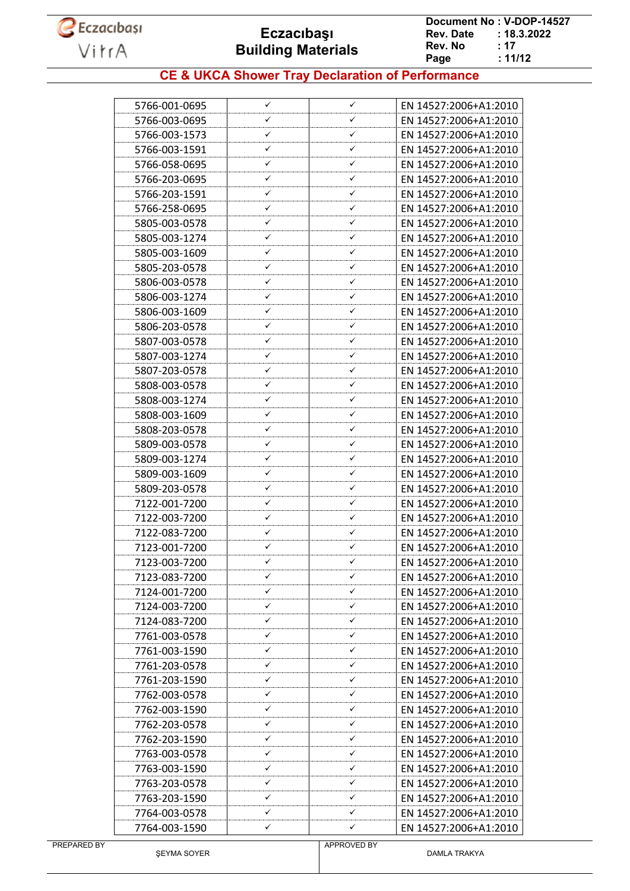

| Document No: V-DOP-14527 |
|--------------------------|
| : 18.3.2022              |
| : 17                     |
| : 11/12                  |
|                          |

## **CE & UKCA Shower Tray Declaration of Performance**

| 5766-001-0695 | ✓ | ✓ | EN 14527:2006+A1:2010 |
|---------------|---|---|-----------------------|
| 5766-003-0695 | ✓ | ✓ | EN 14527:2006+A1:2010 |
| 5766-003-1573 | ✓ | ✓ | EN 14527:2006+A1:2010 |
| 5766-003-1591 | ✓ | ✓ | EN 14527:2006+A1:2010 |
| 5766-058-0695 | ✓ | ✓ | EN 14527:2006+A1:2010 |
| 5766-203-0695 | ✓ | ✓ | EN 14527:2006+A1:2010 |
| 5766-203-1591 | ✓ | ✓ | EN 14527:2006+A1:2010 |
| 5766-258-0695 | ✓ | ✓ | EN 14527:2006+A1:2010 |
| 5805-003-0578 | ✓ | ✓ | EN 14527:2006+A1:2010 |
| 5805-003-1274 | ✓ | ✓ | EN 14527:2006+A1:2010 |
| 5805-003-1609 | ✓ | ✓ | EN 14527:2006+A1:2010 |
| 5805-203-0578 | ✓ | ✓ | EN 14527:2006+A1:2010 |
| 5806-003-0578 | ✓ | ✓ | EN 14527:2006+A1:2010 |
| 5806-003-1274 | ✓ | ✓ | EN 14527:2006+A1:2010 |
| 5806-003-1609 | ✓ | ✓ | EN 14527:2006+A1:2010 |
| 5806-203-0578 | ✓ | ✓ | EN 14527:2006+A1:2010 |
| 5807-003-0578 | ✓ | ✓ | EN 14527:2006+A1:2010 |
| 5807-003-1274 | ✓ | ✓ | EN 14527:2006+A1:2010 |
| 5807-203-0578 | ✓ | ✓ | EN 14527:2006+A1:2010 |
| 5808-003-0578 | ✓ | ✓ | EN 14527:2006+A1:2010 |
| 5808-003-1274 | ✓ | ✓ | EN 14527:2006+A1:2010 |
| 5808-003-1609 | ✓ | ✓ | EN 14527:2006+A1:2010 |
| 5808-203-0578 | ✓ | ✓ | EN 14527:2006+A1:2010 |
| 5809-003-0578 | ✓ | ✓ | EN 14527:2006+A1:2010 |
| 5809-003-1274 | ✓ | ✓ | EN 14527:2006+A1:2010 |
| 5809-003-1609 | ✓ | ✓ | EN 14527:2006+A1:2010 |
| 5809-203-0578 | ✓ | ✓ | EN 14527:2006+A1:2010 |
| 7122-001-7200 | ✓ | ✓ | EN 14527:2006+A1:2010 |
| 7122-003-7200 | ✓ | ✓ | EN 14527:2006+A1:2010 |
| 7122-083-7200 | ✓ | ✓ | EN 14527:2006+A1:2010 |
| 7123-001-7200 | ✓ | ✓ | EN 14527:2006+A1:2010 |
| 7123-003-7200 | ✓ | ✓ | EN 14527:2006+A1:2010 |
| 7123-083-7200 | ✓ | ✓ | EN 14527:2006+A1:2010 |
| 7124-001-7200 | ✓ | ✓ | EN 14527:2006+A1:2010 |
| 7124-003-7200 | ✓ | ✓ | EN 14527:2006+A1:2010 |
| 7124-083-7200 | ✓ | ✓ | EN 14527:2006+A1:2010 |
| 7761-003-0578 | ✓ | ✓ | EN 14527:2006+A1:2010 |
| 7761-003-1590 | ✓ | ✓ | EN 14527:2006+A1:2010 |
| 7761-203-0578 | ✓ | ✓ | EN 14527:2006+A1:2010 |
| 7761-203-1590 | ✓ | ✓ | EN 14527:2006+A1:2010 |
| 7762-003-0578 | ✓ | ✓ | EN 14527:2006+A1:2010 |
| 7762-003-1590 | ✓ | ✓ | EN 14527:2006+A1:2010 |
| 7762-203-0578 | ✓ | ✓ | EN 14527:2006+A1:2010 |
| 7762-203-1590 | ✓ | ✓ | EN 14527:2006+A1:2010 |
| 7763-003-0578 | ✓ | ✓ | EN 14527:2006+A1:2010 |
| 7763-003-1590 | ✓ | ✓ | EN 14527:2006+A1:2010 |
| 7763-203-0578 | ✓ | ✓ | EN 14527:2006+A1:2010 |
| 7763-203-1590 | ✓ | ✓ | EN 14527:2006+A1:2010 |
| 7764-003-0578 | ✓ | ✓ | EN 14527:2006+A1:2010 |
| 7764-003-1590 | ✓ | ✓ | EN 14527:2006+A1:2010 |
|               |   |   |                       |

**PREPARED BY** 

ŞEYMA SOYER